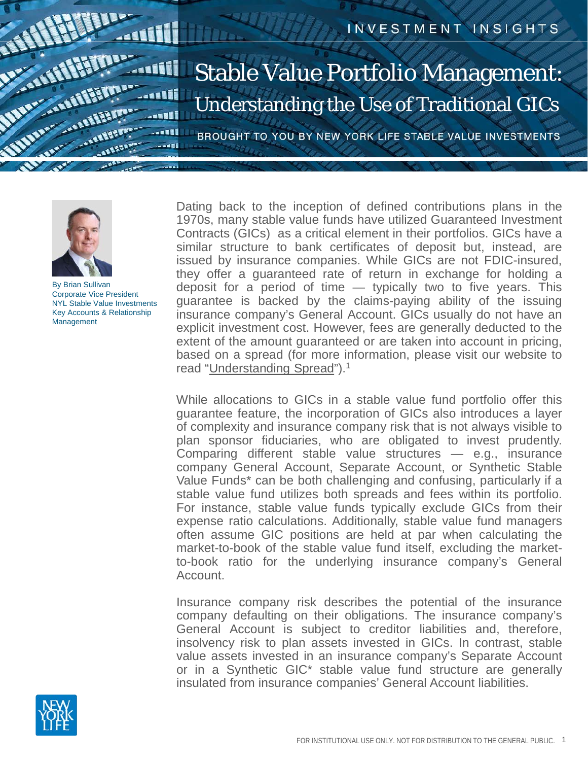



By Brian Sullivan Corporate Vice President NYL Stable Value Investments Key Accounts & Relationship **Management** 

Dating back to the inception of defined contributions plans in the 1970s, many stable value funds have utilized Guaranteed Investment Contracts (GICs) as a critical element in their portfolios. GICs have a similar structure to bank certificates of deposit but, instead, are issued by insurance companies. While GICs are not FDIC-insured, they offer a guaranteed rate of return in exchange for holding a deposit for a period of time — typically two to five years. This guarantee is backed by the claims-paying ability of the issuing insurance company's General Account. GICs usually do not have an explicit investment cost. However, fees are generally deducted to the extent of the amount guaranteed or are taken into account in pricing, based on a spread (for more information, please visit our website to read "[Understanding](https://www.newyorklifeinvestments.com/assets/documents/stable-value/insights-understanding-spread.pdf) Spread").<sup>1</sup>

While allocations to GICs in a stable value fund portfolio offer this guarantee feature, the incorporation of GICs also introduces a layer of complexity and insurance company risk that is not always visible to plan sponsor fiduciaries, who are obligated to invest prudently. Comparing different stable value structures — e.g., insurance company General Account, Separate Account, or Synthetic Stable Value Funds\* can be both challenging and confusing, particularly if a stable value fund utilizes both spreads and fees within its portfolio. For instance, stable value funds typically exclude GICs from their expense ratio calculations. Additionally, stable value fund managers often assume GIC positions are held at par when calculating the market-to-book of the stable value fund itself, excluding the marketto-book ratio for the underlying insurance company's General Account.

Insurance company risk describes the potential of the insurance company defaulting on their obligations. The insurance company's General Account is subject to creditor liabilities and, therefore, insolvency risk to plan assets invested in GICs. In contrast, stable value assets invested in an insurance company's Separate Account or in a Synthetic GIC\* stable value fund structure are generally insulated from insurance companies' General Account liabilities.

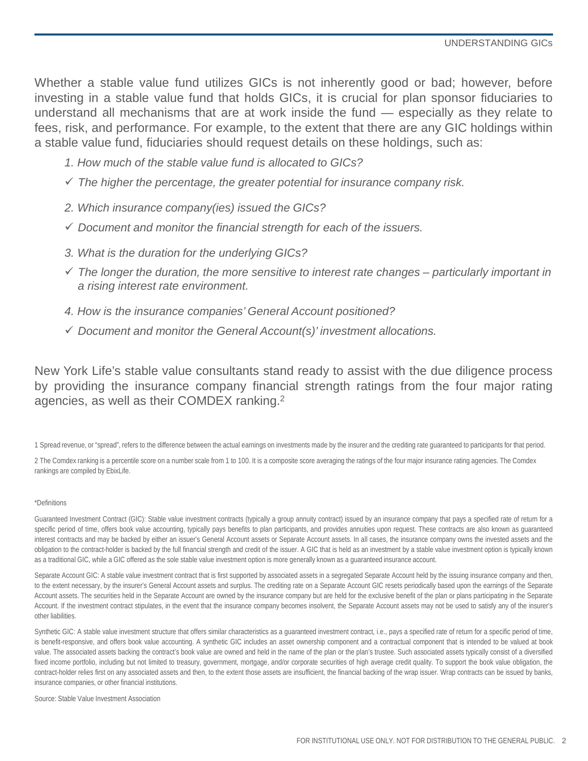Whether a stable value fund utilizes GICs is not inherently good or bad; however, before investing in a stable value fund that holds GICs, it is crucial for plan sponsor fiduciaries to understand all mechanisms that are at work inside the fund — especially as they relate to fees, risk, and performance. For example, to the extent that there are any GIC holdings within a stable value fund, fiduciaries should request details on these holdings, such as:

- *1. How much of the stable value fund is allocated to GICs?*
- *The higher the percentage, the greater potential for insurance company risk.*
- *2. Which insurance company(ies) issued the GICs?*
- *Document and monitor the financial strength for each of the issuers.*
- *3. What is the duration for the underlying GICs?*
- *The longer the duration, the more sensitive to interest rate changes – particularly important in a rising interest rate environment.*
- *4. How is the insurance companies' General Account positioned?*
- *Document and monitor the General Account(s)' investment allocations.*

New York Life's stable value consultants stand ready to assist with the due diligence process by providing the insurance company financial strength ratings from the four major rating agencies, as well as their COMDEX ranking. 2

1 Spread revenue, or "spread", refers to the difference between the actual earnings on investments made by the insurer and the crediting rate guaranteed to participants for that period.

2 The Comdex ranking is a percentile score on a number scale from 1 to 100. It is a composite score averaging the ratings of the four major insurance rating agencies. The Comdex rankings are compiled by EbixLife.

## \*Definitions

Guaranteed Investment Contract (GIC): Stable value investment contracts (typically a group annuity contract) issued by an insurance company that pays a specified rate of return for a specific period of time, offers book value accounting, typically pays benefits to plan participants, and provides annuities upon request. These contracts are also known as guaranteed interest contracts and may be backed by either an issuer's General Account assets or Separate Account assets. In all cases, the insurance company owns the invested assets and the obligation to the contract-holder is backed by the full financial strength and credit of the issuer. A GIC that is held as an investment by a stable value investment option is typically known as a traditional GIC, while a GIC offered as the sole stable value investment option is more generally known as a guaranteed insurance account.

Separate Account GIC: A stable value investment contract that is first supported by associated assets in a segregated Separate Account held by the issuing insurance company and then, to the extent necessary, by the insurer's General Account assets and surplus. The crediting rate on a Separate Account GIC resets periodically based upon the earnings of the Separate Account assets. The securities held in the Separate Account are owned by the insurance company but are held for the exclusive benefit of the plan or plans participating in the Separate Account. If the investment contract stipulates, in the event that the insurance company becomes insolvent, the Separate Account assets may not be used to satisfy any of the insurer's other liabilities.

Synthetic GIC: A stable value investment structure that offers similar characteristics as a guaranteed investment contract, i.e., pays a specified rate of return for a specific period of time, is benefit-responsive, and offers book value accounting. A synthetic GIC includes an asset ownership component and a contractual component that is intended to be valued at book value. The associated assets backing the contract's book value are owned and held in the name of the plan or the plan's trustee. Such associated assets typically consist of a diversified fixed income portfolio, including but not limited to treasury, government, mortgage, and/or corporate securities of high average credit quality. To support the book value obligation, the contract-holder relies first on any associated assets and then, to the extent those assets are insufficient, the financial backing of the wrap issuer. Wrap contracts can be issued by banks, insurance companies, or other financial institutions.

Source: Stable Value Investment Association